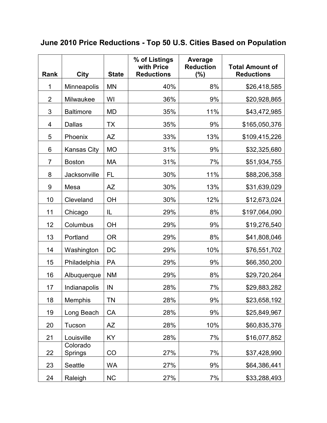| Rank           | <b>City</b>         | <b>State</b> | % of Listings<br>with Price<br><b>Reductions</b> | Average<br><b>Reduction</b><br>(%) | <b>Total Amount of</b><br><b>Reductions</b> |
|----------------|---------------------|--------------|--------------------------------------------------|------------------------------------|---------------------------------------------|
| 1              | Minneapolis         | <b>MN</b>    | 40%                                              | 8%                                 | \$26,418,585                                |
| $\overline{2}$ | Milwaukee           | WI           | 36%                                              | 9%                                 | \$20,928,865                                |
| 3              | <b>Baltimore</b>    | <b>MD</b>    | 35%                                              | 11%                                | \$43,472,985                                |
| 4              | <b>Dallas</b>       | <b>TX</b>    | 35%                                              | 9%                                 | \$165,050,376                               |
| 5              | Phoenix             | <b>AZ</b>    | 33%                                              | 13%                                | \$109,415,226                               |
| 6              | <b>Kansas City</b>  | <b>MO</b>    | 31%                                              | 9%                                 | \$32,325,680                                |
| $\overline{7}$ | <b>Boston</b>       | MA           | 31%                                              | 7%                                 | \$51,934,755                                |
| 8              | Jacksonville        | <b>FL</b>    | 30%                                              | 11%                                | \$88,206,358                                |
| 9              | Mesa                | <b>AZ</b>    | 30%                                              | 13%                                | \$31,639,029                                |
| 10             | Cleveland           | OH           | 30%                                              | 12%                                | \$12,673,024                                |
| 11             | Chicago             | IL           | 29%                                              | 8%                                 | \$197,064,090                               |
| 12             | Columbus            | OH           | 29%                                              | 9%                                 | \$19,276,540                                |
| 13             | Portland            | <b>OR</b>    | 29%                                              | 8%                                 | \$41,808,046                                |
| 14             | Washington          | DC           | 29%                                              | 10%                                | \$76,551,702                                |
| 15             | Philadelphia        | PA           | 29%                                              | 9%                                 | \$66,350,200                                |
| 16             | Albuquerque         | <b>NM</b>    | 29%                                              | 8%                                 | \$29,720,264                                |
| 17             | Indianapolis        | IN           | 28%                                              | 7%                                 | \$29,883,282                                |
| 18             | <b>Memphis</b>      | TN           | 28%                                              | 9%                                 | \$23,658,192                                |
| 19             | Long Beach          | CA           | 28%                                              | 9%                                 | \$25,849,967                                |
| 20             | Tucson              | <b>AZ</b>    | 28%                                              | 10%                                | \$60,835,376                                |
| 21             | Louisville          | KY           | 28%                                              | 7%                                 | \$16,077,852                                |
| 22             | Colorado<br>Springs | CO           | 27%                                              | 7%                                 | \$37,428,990                                |
| 23             | Seattle             | <b>WA</b>    | 27%                                              | 9%                                 | \$64,386,441                                |
| 24             | Raleigh             | NC           | 27%                                              | 7%                                 | \$33,288,493                                |

## **June 2010 Price Reductions - Top 50 U.S. Cities Based on Population**